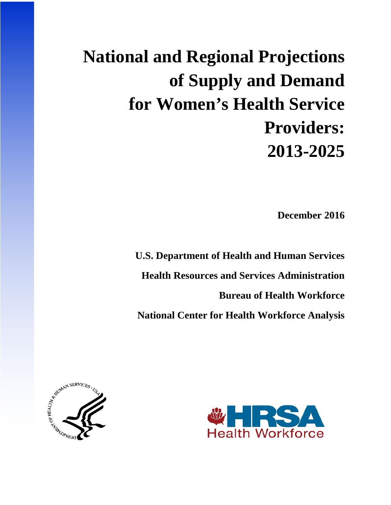# **National and Regional Projections of Supply and Demand for Women's Health Service Providers: 2013-2025**

**December 2016** 

**U.S. Department of Health and Human Services Health Resources and Services Administration Bureau of Health Workforce National Center for Health Workforce Analysis**



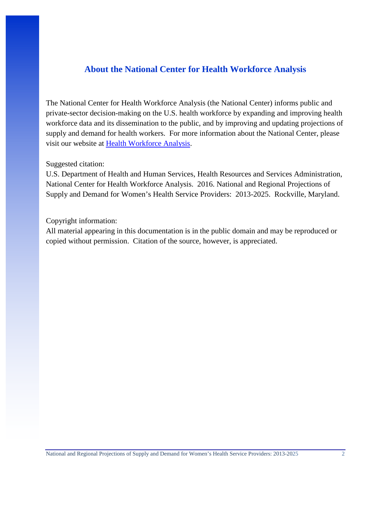## **About the National Center for Health Workforce Analysis**

The National Center for Health Workforce Analysis (the National Center) informs public and private-sector decision-making on the U.S. health workforce by expanding and improving health workforce data and its dissemination to the public, and by improving and updating projections of supply and demand for health workers. For more information about the National Center, please visit our website at [Health Workforce Analysis.](http://bhw.hrsa.gov/healthworkforce/index.html)

## Suggested citation:

U.S. Department of Health and Human Services, Health Resources and Services Administration, National Center for Health Workforce Analysis. 2016. National and Regional Projections of Supply and Demand for Women's Health Service Providers: 2013-2025. Rockville, Maryland.

### Copyright information:

All material appearing in this documentation is in the public domain and may be reproduced or copied without permission. Citation of the source, however, is appreciated.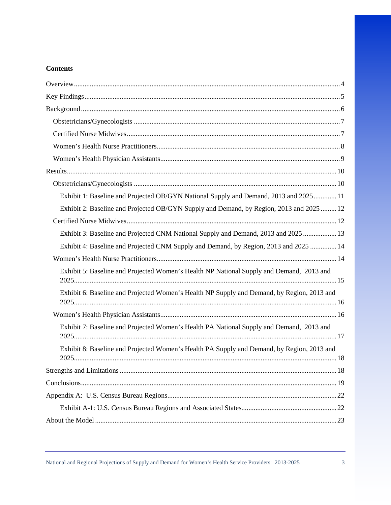## **Contents**

| Exhibit 1: Baseline and Projected OB/GYN National Supply and Demand, 2013 and 2025 11      |
|--------------------------------------------------------------------------------------------|
| Exhibit 2: Baseline and Projected OB/GYN Supply and Demand, by Region, 2013 and 2025  12   |
|                                                                                            |
| Exhibit 3: Baseline and Projected CNM National Supply and Demand, 2013 and 2025  13        |
| Exhibit 4: Baseline and Projected CNM Supply and Demand, by Region, 2013 and 2025  14      |
|                                                                                            |
| Exhibit 5: Baseline and Projected Women's Health NP National Supply and Demand, 2013 and   |
| Exhibit 6: Baseline and Projected Women's Health NP Supply and Demand, by Region, 2013 and |
|                                                                                            |
| Exhibit 7: Baseline and Projected Women's Health PA National Supply and Demand, 2013 and   |
| Exhibit 8: Baseline and Projected Women's Health PA Supply and Demand, by Region, 2013 and |
|                                                                                            |
|                                                                                            |
|                                                                                            |
|                                                                                            |
|                                                                                            |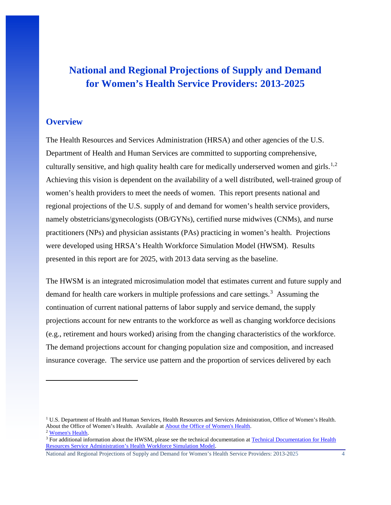# **National and Regional Projections of Supply and Demand for Women's Health Service Providers: 2013-2025**

## <span id="page-4-0"></span>**Overview**

l

The Health Resources and Services Administration (HRSA) and other agencies of the U.S. Department of Health and Human Services are committed to supporting comprehensive, culturally sensitive, and high quality health care for medically underserved women and girls.<sup>[1,](#page-4-1)[2](#page-4-2)</sup> Achieving this vision is dependent on the availability of a well distributed, well-trained group of women's health providers to meet the needs of women. This report presents national and regional projections of the U.S. supply of and demand for women's health service providers, namely obstetricians/gynecologists (OB/GYNs), certified nurse midwives (CNMs), and nurse practitioners (NPs) and physician assistants (PAs) practicing in women's health. Projections were developed using HRSA's Health Workforce Simulation Model (HWSM). Results presented in this report are for 2025, with 2013 data serving as the baseline.

The HWSM is an integrated microsimulation model that estimates current and future supply and demand for health care workers in multiple professions and care settings.<sup>[3](#page-4-3)</sup> Assuming the continuation of current national patterns of labor supply and service demand, the supply projections account for new entrants to the workforce as well as changing workforce decisions (e.g., retirement and hours worked) arising from the changing characteristics of the workforce. The demand projections account for changing population size and composition, and increased insurance coverage. The service use pattern and the proportion of services delivered by each

<span id="page-4-1"></span><sup>&</sup>lt;sup>1</sup> U.S. Department of Health and Human Services, Health Resources and Services Administration, Office of Women's Health.<br>About the Office of Women's Health. Available at About the Office of Women's Health.

<span id="page-4-3"></span><span id="page-4-2"></span> $\frac{2 \text{ Women's Health}}{3 \text{ For additional information about the HWSM, please see the technical documentation at Technical Documentation for Health.}$ [Resources Service Administration's Health Workforce Simulation Model.](https://bhw.hrsa.gov/sites/default/files/bhw/nchwa/projections/simulationmodeldocumentation.pdf)

National and Regional Projections of Supply and Demand for Women's Health Service Providers: 2013-2025 4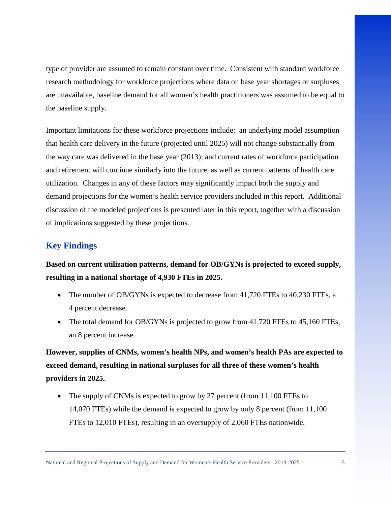type of provider are assumed to remain constant over time. Consistent with standard workforce research methodology for workforce projections where data on base year shortages or surpluses are unavailable, baseline demand for all women's health practitioners was assumed to be equal to the baseline supply.

Important limitations for these workforce projections include: an underlying model assumption that health care delivery in the future (projected until 2025) will not change substantially from the way care was delivered in the base year (2013); and current rates of workforce participation and retirement will continue similarly into the future, as well as current patterns of health care utilization. Changes in any of these factors may significantly impact both the supply and demand projections for the women's health service providers included in this report. Additional discussion of the modeled projections is presented later in this report, together with a discussion of implications suggested by these projections.

## <span id="page-5-0"></span>**Key Findings**

**Based on current utilization patterns, demand for OB/GYNs is projected to exceed supply, resulting in a national shortage of 4,930 FTEs in 2025.** 

- The number of OB/GYNs is expected to decrease from 41,720 FTEs to 40,230 FTEs, a 4 percent decrease.
- The total demand for OB/GYNs is projected to grow from 41,720 FTEs to 45,160 FTEs, an 8 percent increase.

**However, supplies of CNMs, women's health NPs, and women's health PAs are expected to exceed demand, resulting in national surpluses for all three of these women's health providers in 2025.** 

The supply of CNMs is expected to grow by 27 percent (from 11,100 FTEs to 14,070 FTEs) while the demand is expected to grow by only 8 percent (from 11,100 FTEs to 12,010 FTEs), resulting in an oversupply of 2,060 FTEs nationwide.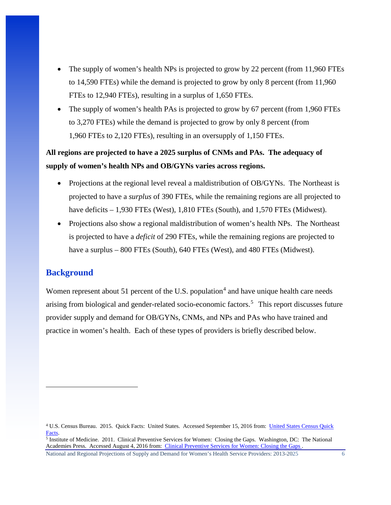- The supply of women's health NPs is projected to grow by 22 percent (from 11,960 FTEs to 14,590 FTEs) while the demand is projected to grow by only 8 percent (from 11,960 FTEs to 12,940 FTEs), resulting in a surplus of 1,650 FTEs.
- The supply of women's health PAs is projected to grow by 67 percent (from 1,960 FTEs to 3,270 FTEs) while the demand is projected to grow by only 8 percent (from 1,960 FTEs to 2,120 FTEs), resulting in an oversupply of 1,150 FTEs.

## **All regions are projected to have a 2025 surplus of CNMs and PAs. The adequacy of supply of women's health NPs and OB/GYNs varies across regions.**

- Projections at the regional level reveal a maldistribution of OB/GYNs. The Northeast is projected to have a *surplus* of 390 FTEs, while the remaining regions are all projected to have deficits – 1,930 FTEs (West), 1,810 FTEs (South), and 1,570 FTEs (Midwest).
- Projections also show a regional maldistribution of women's health NPs. The Northeast is projected to have a *deficit* of 290 FTEs, while the remaining regions are projected to have a surplus – 800 FTEs (South), 640 FTEs (West), and 480 FTEs (Midwest).

## <span id="page-6-0"></span>**Background**

 $\overline{a}$ 

Women represent about 51 percent of the U.S. population<sup>[4](#page-6-1)</sup> and have unique health care needs arising from biological and gender-related socio-economic factors. [5](#page-6-2) This report discusses future provider supply and demand for OB/GYNs, CNMs, and NPs and PAs who have trained and practice in women's health. Each of these types of providers is briefly described below.

<span id="page-6-1"></span><sup>4</sup> U.S. Census Bureau. 2015. Quick Facts: United States. Accessed September 15, 2016 from: [United States Census Quick](http://www.census.gov/quickfacts/table/PST045215/00)  [Facts.](http://www.census.gov/quickfacts/table/PST045215/00)<br><sup>5</sup> Institute of Medicine. 2011. Clinical Preventive Services for Women: Closing the Gaps. Washington, DC: The National

<span id="page-6-2"></span>Academies Press. Accessed August 4, 2016 from: [Clinical Preventive Services for Women: Closing the Gaps .](http://nationalacademies.org/hmd/reports/2011/clinical-preventive-services-for-women-closing-the-gaps.aspx)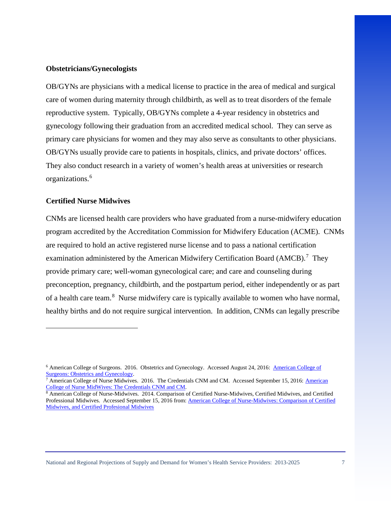#### <span id="page-7-0"></span>**Obstetricians/Gynecologists**

OB/GYNs are physicians with a medical license to practice in the area of medical and surgical care of women during maternity through childbirth, as well as to treat disorders of the female reproductive system. Typically, OB/GYNs complete a 4-year residency in obstetrics and gynecology following their graduation from an accredited medical school. They can serve as primary care physicians for women and they may also serve as consultants to other physicians. OB/GYNs usually provide care to patients in hospitals, clinics, and private doctors' offices. They also conduct research in a variety of women's health areas at universities or research organizations.[6](#page-7-2)

#### <span id="page-7-1"></span>**Certified Nurse Midwives**

 $\overline{\phantom{a}}$ 

CNMs are licensed health care providers who have graduated from a nurse-midwifery education program accredited by the Accreditation Commission for Midwifery Education (ACME). CNMs are required to hold an active registered nurse license and to pass a national certification examination administered by the American Midwifery Certification Board (AMCB).<sup>[7](#page-7-3)</sup> They provide primary care; well-woman gynecological care; and care and counseling during preconception, pregnancy, childbirth, and the postpartum period, either independently or as part of a health care team.<sup>[8](#page-7-4)</sup> Nurse midwifery care is typically available to women who have normal, healthy births and do not require surgical intervention. In addition, CNMs can legally prescribe

<span id="page-7-2"></span><sup>&</sup>lt;sup>6</sup> [American College of](https://www.facs.org/education/resources/residency-search/specialties/obgyn) Surgeons. 2016. Obstetrics and Gynecology. Accessed August 24, 2016: <u>American College of Surgeons: Obstetrics and Gynecology</u>.

<span id="page-7-3"></span><sup>&</sup>lt;sup>7</sup> [American](http://www.midwife.org/The-Credential-CNM-and-CM) College of Nurse Midwives. 2016. The Credentials CNM and CM. Accessed September 15, 2016: American [College of Nurse MidWives: The Credentials CNM and CM.](http://www.midwife.org/The-Credential-CNM-and-CM)<br><sup>8</sup> American College of Nurse-Midwives. 2014. Comparison of Certified Nurse-Midwives, Certified Midwives, and Certified

<span id="page-7-4"></span>Professional Midwives. Accessed September 15, 2016 from[: American College of Nurse-Midwives: Comparison of Certified](http://www.midwife.org/acnm/files/cclibraryfiles/filename/000000001031/cnm%20cm%20cpm%20comparison%20chart%20march%202011.pdf)  [Midwives, and Certified Profesional Midwives](http://www.midwife.org/acnm/files/cclibraryfiles/filename/000000001031/cnm%20cm%20cpm%20comparison%20chart%20march%202011.pdf)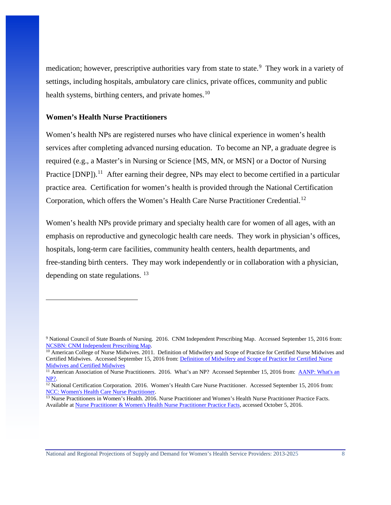medication; however, prescriptive authorities vary from state to state.<sup>[9](#page-8-1)</sup> They work in a variety of settings, including hospitals, ambulatory care clinics, private offices, community and public health systems, birthing centers, and private homes.<sup>[10](#page-8-2)</sup>

## <span id="page-8-0"></span>**Women's Health Nurse Practitioners**

l

Women's health NPs are registered nurses who have clinical experience in women's health services after completing advanced nursing education. To become an NP, a graduate degree is required (e.g., a Master's in Nursing or Science [MS, MN, or MSN] or a Doctor of Nursing Practice  $[DNP]$ .<sup>[11](#page-8-3)</sup> After earning their degree, NPs may elect to become certified in a particular practice area. Certification for women's health is provided through the National Certification Corporation, which offers the Women's Health Care Nurse Practitioner Credential.<sup>12</sup>

Women's health NPs provide primary and specialty health care for women of all ages, with an emphasis on reproductive and gynecologic health care needs. They work in physician's offices, hospitals, long-term care facilities, community health centers, health departments, and free-standing birth centers. They may work independently or in collaboration with a physician, depending on state regulations. [13](#page-8-5)

<span id="page-8-1"></span><sup>9</sup> National Council of State Boards of Nursing. 2016. CNM Independent Prescribing Map. Accessed September 15, 2016 from: [NCSBN: CNM Independent Prescribing Map.](https://www.ncsbn.org/5409.htm)<br><sup>10</sup> American College of Nurse Midwives. 2011. Definition of Midwifery and Scope of Practice for Certified Nurse Midwives and

<span id="page-8-2"></span>Certified Midwives. Accessed September 15, 2016 from: [Definition of Midwifery and Scope of Practice for Certified Nurse](http://www.midwife.org/ACNM/files/ACNMLibraryData/UPLOADFILENAME/000000000266/Definition%20of%20Midwifery%20and%20Scope%20of%20Practice%20of%20CNMs%20and%20CMs%20Feb%202012.pdf)  [Midwives and Certified Midwives](http://www.midwife.org/ACNM/files/ACNMLibraryData/UPLOADFILENAME/000000000266/Definition%20of%20Midwifery%20and%20Scope%20of%20Practice%20of%20CNMs%20and%20CMs%20Feb%202012.pdf)

<span id="page-8-3"></span><sup>&</sup>lt;sup>11</sup> American Association of Nurse Practitioners. 2016. What's an NP? Accessed September 15, 2016 from: **AANP: What's an** NP?.<br><sup>12</sup> National Certification Corporation. 2016. Women's Health Care Nurse Practitioner. Accessed September 15, 2016 from:

<span id="page-8-4"></span>NCC: Women's Health Care Nurse Practitioner.<br><sup>13</sup> Nurse Practitioners in Women's Health. 2016. Nurse Practitioner and Women's Health Nurse Practitioner Practice Facts.

<span id="page-8-5"></span>Available at [Nurse Practitioner & Women's Health Nurse Practitioner Practice Facts,](https://www.npwh.org/pages/about/NPfacts) accessed October 5, 2016.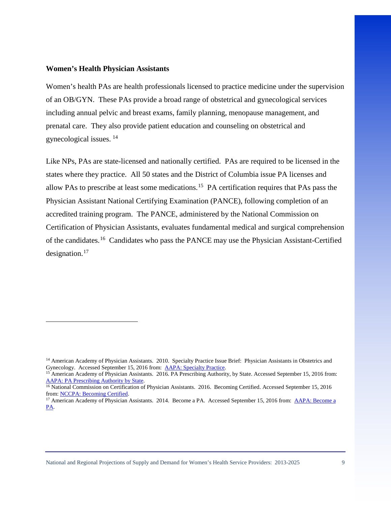#### <span id="page-9-0"></span>**Women's Health Physician Assistants**

l

Women's health PAs are health professionals licensed to practice medicine under the supervision of an OB/GYN. These PAs provide a broad range of obstetrical and gynecological services including annual pelvic and breast exams, family planning, menopause management, and prenatal care. They also provide patient education and counseling on obstetrical and gynecological issues. [14](#page-9-1) 

Like NPs, PAs are state-licensed and nationally certified. PAs are required to be licensed in the states where they practice. All 50 states and the District of Columbia issue PA licenses and allow PAs to prescribe at least some medications.[15](#page-9-2) PA certification requires that PAs pass the Physician Assistant National Certifying Examination (PANCE), following completion of an accredited training program. The PANCE, administered by the National Commission on Certification of Physician Assistants, evaluates fundamental medical and surgical comprehension of the candidates.<sup>[16](#page-9-3)</sup> Candidates who pass the PANCE may use the Physician Assistant-Certified designation.<sup>[17](#page-9-4)</sup>

<span id="page-9-1"></span><sup>&</sup>lt;sup>14</sup> American Academy of Physician Assistants. 2010. Specialty Practice Issue Brief: Physician Assistants in Obstetrics and Gynecology. Accessed September 15, 2016 from:  $\Delta APA$ : Specialty Practice.

<span id="page-9-2"></span><sup>&</sup>lt;sup>15</sup> American Academy of Physician Assistants. 2016. PA Prescribing Authority, by State. Accessed September 15, 2016 from: [AAPA: PA Prescribing Authority by State.](https://www.aapa.org/WorkArea/DownloadAsset.aspx?id=2453) 16 National Commission on Certification of Physician Assistants. 2016. Becoming Certified. Accessed September 15, 2016

<span id="page-9-3"></span>from: [NCCPA: Becoming Certified.](http://www.nccpa.net/BecomingCertified)<br><sup>17</sup> American Academy of Physician Assistants. 2014. Become a PA. Accessed September 15, 2016 from: <u>AAPA: Become a</u>

<span id="page-9-4"></span>[PA.](https://www.aapa.org/become-a-pa/)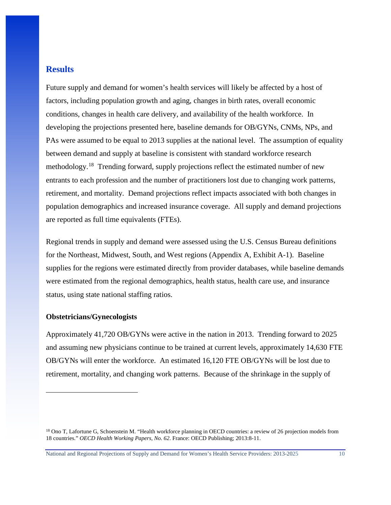## <span id="page-10-0"></span>**Results**

Future supply and demand for women's health services will likely be affected by a host of factors, including population growth and aging, changes in birth rates, overall economic conditions, changes in health care delivery, and availability of the health workforce. In developing the projections presented here, baseline demands for OB/GYNs, CNMs, NPs, and PAs were assumed to be equal to 2013 supplies at the national level. The assumption of equality between demand and supply at baseline is consistent with standard workforce research methodology.<sup>[18](#page-10-2)</sup> Trending forward, supply projections reflect the estimated number of new entrants to each profession and the number of practitioners lost due to changing work patterns, retirement, and mortality. Demand projections reflect impacts associated with both changes in population demographics and increased insurance coverage. All supply and demand projections are reported as full time equivalents (FTEs).

Regional trends in supply and demand were assessed using the U.S. Census Bureau definitions for the Northeast, Midwest, South, and West regions (Appendix A, Exhibit A-1). Baseline supplies for the regions were estimated directly from provider databases, while baseline demands were estimated from the regional demographics, health status, health care use, and insurance status, using state national staffing ratios.

#### <span id="page-10-1"></span>**Obstetricians/Gynecologists**

 $\overline{\phantom{a}}$ 

Approximately 41,720 OB/GYNs were active in the nation in 2013. Trending forward to 2025 and assuming new physicians continue to be trained at current levels, approximately 14,630 FTE OB/GYNs will enter the workforce. An estimated 16,120 FTE OB/GYNs will be lost due to retirement, mortality, and changing work patterns. Because of the shrinkage in the supply of

<span id="page-10-2"></span><sup>&</sup>lt;sup>18</sup> Ono T, Lafortune G, Schoenstein M. "Health workforce planning in OECD countries: a review of 26 projection models from 18 countries." *OECD Health Working Papers, No. 62*. France: OECD Publishing; 2013:8-11.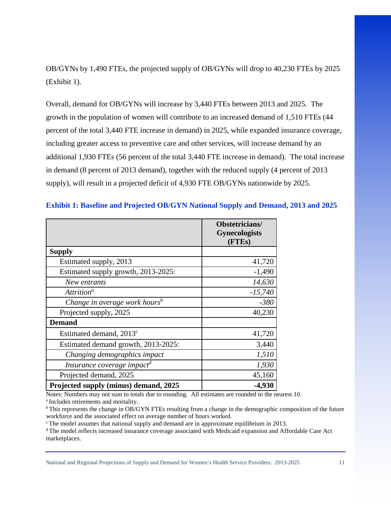OB/GYNs by 1,490 FTEs, the projected supply of OB/GYNs will drop to 40,230 FTEs by 2025 (Exhibit 1).

Overall, demand for OB/GYNs will increase by 3,440 FTEs between 2013 and 2025. The growth in the population of women will contribute to an increased demand of 1,510 FTEs (44 percent of the total 3,440 FTE increase in demand) in 2025, while expanded insurance coverage, including greater access to preventive care and other services, will increase demand by an additional 1,930 FTEs (56 percent of the total 3,440 FTE increase in demand). The total increase in demand (8 percent of 2013 demand), together with the reduced supply (4 percent of 2013 supply), will result in a projected deficit of 4,930 FTE OB/GYNs nationwide by 2025.

|                                           | Obstetricians/<br><b>Gynecologists</b><br>(FTEs) |
|-------------------------------------------|--------------------------------------------------|
| <b>Supply</b>                             |                                                  |
| Estimated supply, 2013                    | 41,720                                           |
| Estimated supply growth, 2013-2025:       | $-1,490$                                         |
| New entrants                              | 14,630                                           |
| Attrition <sup>a</sup>                    | $-15,740$                                        |
| Change in average work hours <sup>b</sup> | $-380$                                           |
| Projected supply, 2025                    | 40,230                                           |
| <b>Demand</b>                             |                                                  |
| Estimated demand, 2013 <sup>c</sup>       | 41,720                                           |
| Estimated demand growth, 2013-2025:       | 3,440                                            |
| Changing demographics impact              | 1,510                                            |
| Insurance coverage impact <sup>d</sup>    | 1,930                                            |
| Projected demand, 2025                    | 45,160                                           |
| Projected supply (minus) demand, 2025     | -4,930                                           |

### <span id="page-11-0"></span>**Exhibit 1: Baseline and Projected OB/GYN National Supply and Demand, 2013 and 2025**

Notes: Numbers may not sum to totals due to rounding. All estimates are rounded to the nearest 10. a Includes retirements and mortality.

b This represents the change in OB/GYN FTEs resulting from a change in the demographic composition of the future workforce and the associated effect on average number of hours worked.

c The model assumes that national supply and demand are in approximate equilibrium in 2013.

d The model reflects increased insurance coverage associated with Medicaid expansion and Affordable Care Act marketplaces.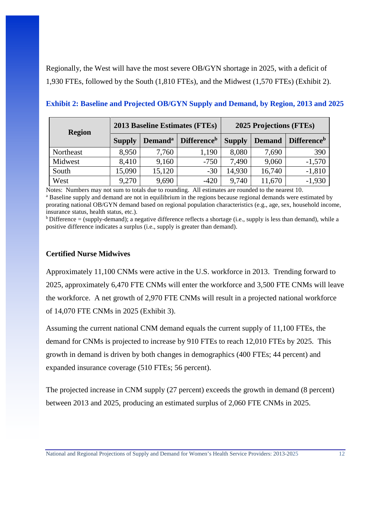Regionally, the West will have the most severe OB/GYN shortage in 2025, with a deficit of 1,930 FTEs, followed by the South (1,810 FTEs), and the Midwest (1,570 FTEs) (Exhibit 2).

| <b>Region</b> |               |                     | <b>2013 Baseline Estimates (FTEs)</b> | 2025 Projections (FTEs) |               |                                |
|---------------|---------------|---------------------|---------------------------------------|-------------------------|---------------|--------------------------------|
|               | <b>Supply</b> | Demand <sup>a</sup> | <b>Difference</b> <sup>b</sup>        | <b>Supply</b>           | <b>Demand</b> | <b>Difference</b> <sup>b</sup> |
| Northeast     | 8,950         | 7,760               | 1,190                                 | 8,080                   | 7,690         | 390                            |
| Midwest       | 8,410         | 9,160               | $-750$                                | 7,490                   | 9,060         | $-1,570$                       |
| South         | 15,090        | 15,120              | $-30$                                 | 14,930                  | 16,740        | $-1,810$                       |
| West          | 9,270         | 9,690               | $-420$                                | 9,740                   | 11,670        | $-1,930$                       |

<span id="page-12-0"></span>**Exhibit 2: Baseline and Projected OB/GYN Supply and Demand, by Region, 2013 and 2025** 

Notes: Numbers may not sum to totals due to rounding. All estimates are rounded to the nearest 10. <sup>a</sup> Baseline supply and demand are not in equilibrium in the regions because regional demands were estimated by prorating national OB/GYN demand based on regional population characteristics (e.g., age, sex, household income, insurance status, health status, etc.).

 $b$  Difference = (supply-demand); a negative difference reflects a shortage (i.e., supply is less than demand), while a positive difference indicates a surplus (i.e., supply is greater than demand).

## <span id="page-12-1"></span>**Certified Nurse Midwives**

Approximately 11,100 CNMs were active in the U.S. workforce in 2013. Trending forward to 2025, approximately 6,470 FTE CNMs will enter the workforce and 3,500 FTE CNMs will leave the workforce. A net growth of 2,970 FTE CNMs will result in a projected national workforce of 14,070 FTE CNMs in 2025 (Exhibit 3).

Assuming the current national CNM demand equals the current supply of 11,100 FTEs, the demand for CNMs is projected to increase by 910 FTEs to reach 12,010 FTEs by 2025. This growth in demand is driven by both changes in demographics (400 FTEs; 44 percent) and expanded insurance coverage (510 FTEs; 56 percent).

The projected increase in CNM supply (27 percent) exceeds the growth in demand (8 percent) between 2013 and 2025, producing an estimated surplus of 2,060 FTE CNMs in 2025.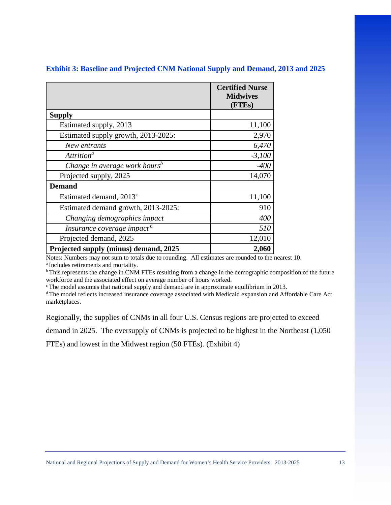|                                           | <b>Certified Nurse</b><br><b>Midwives</b><br>(FTEs) |
|-------------------------------------------|-----------------------------------------------------|
| <b>Supply</b>                             |                                                     |
| Estimated supply, 2013                    | 11,100                                              |
| Estimated supply growth, 2013-2025:       | 2,970                                               |
| New entrants                              | 6,470                                               |
| Attrition <sup>a</sup>                    | $-3,100$                                            |
| Change in average work hours <sup>b</sup> | $-400$                                              |
| Projected supply, 2025                    | 14,070                                              |
| <b>Demand</b>                             |                                                     |
| Estimated demand, 2013 <sup>c</sup>       | 11,100                                              |
| Estimated demand growth, 2013-2025:       | 910                                                 |
| Changing demographics impact              | 400                                                 |
| Insurance coverage impact <sup>d</sup>    | 510                                                 |
| Projected demand, 2025                    | 12,010                                              |
| Projected supply (minus) demand, 2025     | 2,060                                               |

## <span id="page-13-0"></span>**Exhibit 3: Baseline and Projected CNM National Supply and Demand, 2013 and 2025**

Notes: Numbers may not sum to totals due to rounding. All estimates are rounded to the nearest 10. a Includes retirements and mortality.

<sup>b</sup> This represents the change in CNM FTEs resulting from a change in the demographic composition of the future workforce and the associated effect on average number of hours worked.

c The model assumes that national supply and demand are in approximate equilibrium in 2013.

d The model reflects increased insurance coverage associated with Medicaid expansion and Affordable Care Act marketplaces.

Regionally, the supplies of CNMs in all four U.S. Census regions are projected to exceed

demand in 2025. The oversupply of CNMs is projected to be highest in the Northeast (1,050

FTEs) and lowest in the Midwest region (50 FTEs). (Exhibit 4)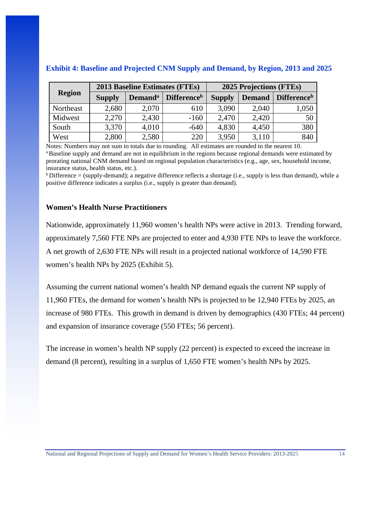|               | 2013 Baseline Estimates (FTEs) |                     |                                | 2025 Projections (FTEs) |               |                                |
|---------------|--------------------------------|---------------------|--------------------------------|-------------------------|---------------|--------------------------------|
| <b>Region</b> | <b>Supply</b>                  | Demand <sup>a</sup> | <b>Difference</b> <sup>b</sup> | <b>Supply</b>           | <b>Demand</b> | <b>Difference</b> <sup>b</sup> |
| Northeast     | 2,680                          | 2,070               | 610                            | 3,090                   | 2,040         | 1,050                          |
| Midwest       | 2,270                          | 2,430               | $-160$                         | 2,470                   | 2,420         | 50                             |
| South         | 3,370                          | 4,010               | $-640$                         | 4,830                   | 4,450         | 380                            |
| West          | 2,800                          | 2,580               | 220                            | 3,950                   | 3,110         | 840                            |

## <span id="page-14-0"></span>**Exhibit 4: Baseline and Projected CNM Supply and Demand, by Region, 2013 and 2025**

Notes: Numbers may not sum to totals due to rounding. All estimates are rounded to the nearest 10. <sup>a</sup> Baseline supply and demand are not in equilibrium in the regions because regional demands were estimated by prorating national CNM demand based on regional population characteristics (e.g., age, sex, household income, insurance status, health status, etc.).

 $b$  Difference = (supply-demand); a negative difference reflects a shortage (i.e., supply is less than demand), while a positive difference indicates a surplus (i.e., supply is greater than demand).

## <span id="page-14-1"></span>**Women's Health Nurse Practitioners**

Nationwide, approximately 11,960 women's health NPs were active in 2013. Trending forward, approximately 7,560 FTE NPs are projected to enter and 4,930 FTE NPs to leave the workforce. A net growth of 2,630 FTE NPs will result in a projected national workforce of 14,590 FTE women's health NPs by 2025 (Exhibit 5).

Assuming the current national women's health NP demand equals the current NP supply of 11,960 FTEs, the demand for women's health NPs is projected to be 12,940 FTEs by 2025, an increase of 980 FTEs. This growth in demand is driven by demographics (430 FTEs; 44 percent) and expansion of insurance coverage (550 FTEs; 56 percent).

The increase in women's health NP supply (22 percent) is expected to exceed the increase in demand (8 percent), resulting in a surplus of 1,650 FTE women's health NPs by 2025.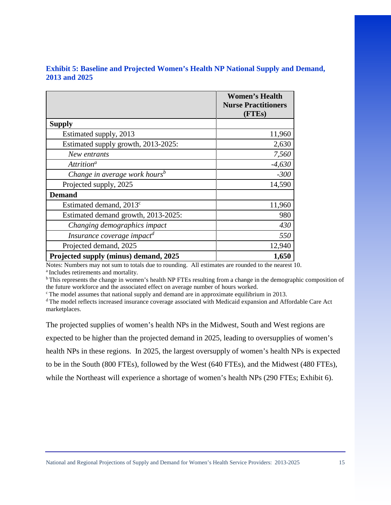<span id="page-15-0"></span>

| <b>Exhibit 5: Baseline and Projected Women's Health NP National Supply and Demand,</b> |  |  |
|----------------------------------------------------------------------------------------|--|--|
| <b>2013 and 2025</b>                                                                   |  |  |

|                                           | <b>Women's Health</b><br><b>Nurse Practitioners</b><br>(FTE <sub>s</sub> ) |
|-------------------------------------------|----------------------------------------------------------------------------|
| <b>Supply</b>                             |                                                                            |
| Estimated supply, 2013                    | 11,960                                                                     |
| Estimated supply growth, 2013-2025:       | 2,630                                                                      |
| New entrants                              | 7,560                                                                      |
| Attrition <sup>a</sup>                    | $-4,630$                                                                   |
| Change in average work hours <sup>b</sup> | $-300$                                                                     |
| Projected supply, 2025                    | 14,590                                                                     |
| <b>Demand</b>                             |                                                                            |
| Estimated demand, 2013 <sup>c</sup>       | 11,960                                                                     |
| Estimated demand growth, 2013-2025:       | 980                                                                        |
| Changing demographics impact              | 430                                                                        |
| Insurance coverage impact <sup>d</sup>    | 550                                                                        |
| Projected demand, 2025                    | 12,940                                                                     |
| Projected supply (minus) demand, 2025     | 1,650                                                                      |

Notes: Numbers may not sum to totals due to rounding. All estimates are rounded to the nearest 10. a Includes retirements and mortality.

b This represents the change in women's health NP FTEs resulting from a change in the demographic composition of the future workforce and the associated effect on average number of hours worked.

<sup>c</sup> The model assumes that national supply and demand are in approximate equilibrium in 2013.

d The model reflects increased insurance coverage associated with Medicaid expansion and Affordable Care Act marketplaces.

The projected supplies of women's health NPs in the Midwest, South and West regions are expected to be higher than the projected demand in 2025, leading to oversupplies of women's health NPs in these regions. In 2025, the largest oversupply of women's health NPs is expected to be in the South (800 FTEs), followed by the West (640 FTEs), and the Midwest (480 FTEs), while the Northeast will experience a shortage of women's health NPs (290 FTEs; Exhibit 6).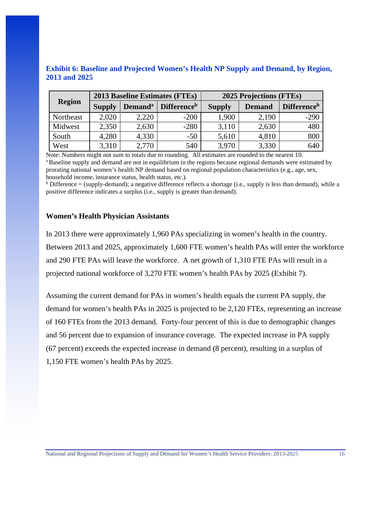<span id="page-16-0"></span>

| <b>Exhibit 6: Baseline and Projected Women's Health NP Supply and Demand, by Region,</b> |  |  |  |
|------------------------------------------------------------------------------------------|--|--|--|
| <b>2013 and 2025</b>                                                                     |  |  |  |

|               | <b>2013 Baseline Estimates (FTEs)</b> |                            |                                |               | <b>2025 Projections (FTEs)</b> |                                |
|---------------|---------------------------------------|----------------------------|--------------------------------|---------------|--------------------------------|--------------------------------|
| <b>Region</b> | <b>Supply</b>                         | <b>Demand</b> <sup>a</sup> | <b>Difference</b> <sup>b</sup> | <b>Supply</b> | <b>Demand</b>                  | <b>Difference</b> <sup>b</sup> |
| Northeast     | 2,020                                 | 2,220                      | $-200$                         | 1,900         | 2,190                          | $-290$                         |
| Midwest       | 2,350                                 | 2,630                      | $-280$                         | 3,110         | 2,630                          | 480                            |
| South         | 4,280                                 | 4,330                      | $-50$                          | 5,610         | 4,810                          | 800                            |
| West          | 3,310                                 | 2,770                      | 540                            | 3,970         | 3,330                          | 640                            |

Note: Numbers might not sum to totals due to rounding. All estimates are rounded to the nearest 10.

<sup>a</sup> Baseline supply and demand are not in equilibrium in the regions because regional demands were estimated by prorating national women's health NP demand based on regional population characteristics (e.g., age, sex, household income, insurance status, health status, etc.).  $\frac{b}{c}$  Difference reflects a shortage (i.e., supply is less than demand), while a

positive difference indicates a surplus (i.e., supply is greater than demand).

### <span id="page-16-1"></span>**Women's Health Physician Assistants**

In 2013 there were approximately 1,960 PAs specializing in women's health in the country. Between 2013 and 2025, approximately 1,600 FTE women's health PAs will enter the workforce and 290 FTE PAs will leave the workforce. A net growth of 1,310 FTE PAs will result in a projected national workforce of 3,270 FTE women's health PAs by 2025 (Exhibit 7).

Assuming the current demand for PAs in women's health equals the current PA supply, the demand for women's health PAs in 2025 is projected to be 2,120 FTEs, representing an increase of 160 FTEs from the 2013 demand. Forty-four percent of this is due to demographic changes and 56 percent due to expansion of insurance coverage. The expected increase in PA supply (67 percent) exceeds the expected increase in demand (8 percent), resulting in a surplus of 1,150 FTE women's health PAs by 2025.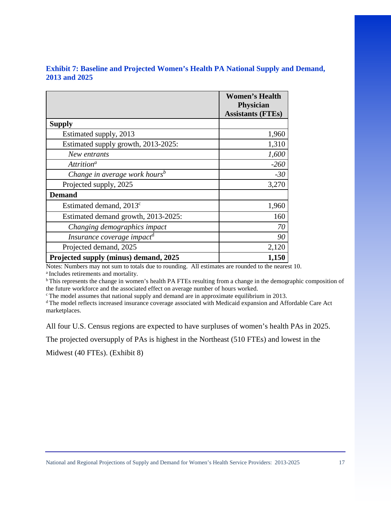<span id="page-17-0"></span>

| <b>Exhibit 7: Baseline and Projected Women's Health PA National Supply and Demand,</b> |  |  |
|----------------------------------------------------------------------------------------|--|--|
| <b>2013 and 2025</b>                                                                   |  |  |

|                                           | <b>Women's Health</b><br>Physician |
|-------------------------------------------|------------------------------------|
|                                           | <b>Assistants (FTEs)</b>           |
| <b>Supply</b>                             |                                    |
| Estimated supply, 2013                    | 1,960                              |
| Estimated supply growth, 2013-2025:       | 1,310                              |
| New entrants                              | 1,600                              |
| Attrition <sup>a</sup>                    | $-260$                             |
| Change in average work hours <sup>b</sup> | $-30$                              |
| Projected supply, 2025                    | 3,270                              |
| <b>Demand</b>                             |                                    |
| Estimated demand, $2013^{\circ}$          | 1,960                              |
| Estimated demand growth, 2013-2025:       | 160                                |
| Changing demographics impact              | 70                                 |
| Insurance coverage impact <sup>d</sup>    | 90                                 |
| Projected demand, 2025                    | 2,120                              |
| Projected supply (minus) demand, 2025     | 1,150                              |

Notes: Numbers may not sum to totals due to rounding. All estimates are rounded to the nearest 10. a Includes retirements and mortality.

<sup>b</sup> This represents the change in women's health PA FTEs resulting from a change in the demographic composition of the future workforce and the associated effect on average number of hours worked.

c The model assumes that national supply and demand are in approximate equilibrium in 2013.

d The model reflects increased insurance coverage associated with Medicaid expansion and Affordable Care Act marketplaces.

All four U.S. Census regions are expected to have surpluses of women's health PAs in 2025.

The projected oversupply of PAs is highest in the Northeast (510 FTEs) and lowest in the

Midwest (40 FTEs). (Exhibit 8)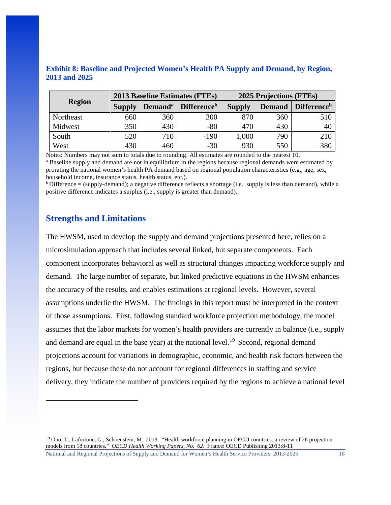|               |               | <b>2013 Baseline Estimates (FTEs)</b> |                                |               | 2025 Projections (FTEs) |                                |  |
|---------------|---------------|---------------------------------------|--------------------------------|---------------|-------------------------|--------------------------------|--|
| <b>Region</b> | <b>Supply</b> | <b>Demand</b> <sup>a</sup>            | <b>Difference</b> <sup>b</sup> | <b>Supply</b> | <b>Demand</b>           | <b>Difference</b> <sup>b</sup> |  |
| Northeast     | 660           | 360                                   | 300                            | 870           | 360                     | 510                            |  |
| Midwest       | 350           | 430                                   | $-80$                          | 470           | 430                     | 40                             |  |
| South         | 520           | 710                                   | $-190$                         | 1,000         | 790                     | 210                            |  |
| West          | 430           | 460                                   | $-30$                          | 930           | 550                     | 380                            |  |

<span id="page-18-0"></span>**Exhibit 8: Baseline and Projected Women's Health PA Supply and Demand, by Region, 2013 and 2025** 

Notes: Numbers may not sum to totals due to rounding. All estimates are rounded to the nearest 10.

<sup>a</sup> Baseline supply and demand are not in equilibrium in the regions because regional demands were estimated by prorating the national women's health PA demand based on regional population characteristics (e.g., age, sex, household income, insurance status, health status, etc.).

 $\rm^b$  Difference = (supply-demand); a negative difference reflects a shortage (i.e., supply is less than demand), while a positive difference indicates a surplus (i.e., supply is greater than demand).

## <span id="page-18-1"></span>**Strengths and Limitations**

l

The HWSM, used to develop the supply and demand projections presented here, relies on a microsimulation approach that includes several linked, but separate components. Each component incorporates behavioral as well as structural changes impacting workforce supply and demand. The large number of separate, but linked predictive equations in the HWSM enhances the accuracy of the results, and enables estimations at regional levels. However, several assumptions underlie the HWSM. The findings in this report must be interpreted in the context of those assumptions. First, following standard workforce projection methodology, the model assumes that the labor markets for women's health providers are currently in balance (i.e., supply and demand are equal in the base year) at the national level.<sup>[19](#page-18-2)</sup> Second, regional demand projections account for variations in demographic, economic, and health risk factors between the regions, but because these do not account for regional differences in staffing and service delivery, they indicate the number of providers required by the regions to achieve a national level

<span id="page-18-2"></span> $19$  Ono, T., Lafortune, G., Schoenstein, M. 2013. "Health workforce planning in OECD countries: a review of 26 projection models from 18 countries." *OECD Health Working Papers, No. 62*. France: OECD Publishing 2013:8-11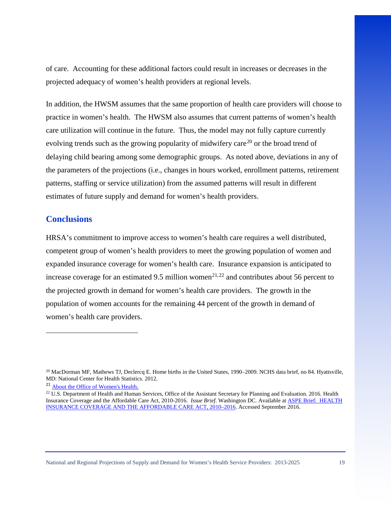of care. Accounting for these additional factors could result in increases or decreases in the projected adequacy of women's health providers at regional levels.

In addition, the HWSM assumes that the same proportion of health care providers will choose to practice in women's health. The HWSM also assumes that current patterns of women's health care utilization will continue in the future. Thus, the model may not fully capture currently evolving trends such as the growing popularity of midwifery care<sup>20</sup> or the broad trend of delaying child bearing among some demographic groups. As noted above, deviations in any of the parameters of the projections (i.e., changes in hours worked, enrollment patterns, retirement patterns, staffing or service utilization) from the assumed patterns will result in different estimates of future supply and demand for women's health providers.

## <span id="page-19-0"></span>**Conclusions**

l

HRSA's commitment to improve access to women's health care requires a well distributed, competent group of women's health providers to meet the growing population of women and expanded insurance coverage for women's health care. Insurance expansion is anticipated to increase coverage for an estimated 9.5 million women<sup>[21](#page-19-2),[22](#page-19-3)</sup> and contributes about 56 percent to the projected growth in demand for women's health care providers. The growth in the population of women accounts for the remaining 44 percent of the growth in demand of women's health care providers.

<span id="page-19-1"></span><sup>&</sup>lt;sup>20</sup> MacDorman MF, Mathews TJ, Declercq E. Home births in the United States, 1990–2009. NCHS data brief, no 84. Hyattsville, MD: National Center for Health Statistics. 2012.

<span id="page-19-2"></span><sup>21</sup> [About the Office of Women's Health](http://www.hrsa.gov/about/organization/bureaus/owh/index.html).

<span id="page-19-3"></span><sup>&</sup>lt;sup>22</sup> U.S. Department of Health and Human Services, Office of the Assistant Secretary for Planning and Evaluation. 2016. Health Insurance Coverage and the Affordable Care Act, 2010-2016. *Issue Brief*. Washington DC. Available at [ASPE Brief: HEALTH](https://aspe.hhs.gov/sites/default/files/pdf/187551/ACA2010-2016.pdf)  [INSURANCE COVERAGE AND THE AFFORDABLE CARE ACT, 2010–2016.](https://aspe.hhs.gov/sites/default/files/pdf/187551/ACA2010-2016.pdf) Accessed September 2016.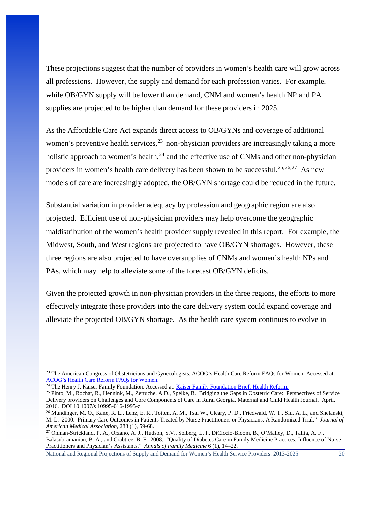These projections suggest that the number of providers in women's health care will grow across all professions. However, the supply and demand for each profession varies. For example, while OB/GYN supply will be lower than demand, CNM and women's health NP and PA supplies are projected to be higher than demand for these providers in 2025.

As the Affordable Care Act expands direct access to OB/GYNs and coverage of additional women's preventive health services,<sup>[23](#page-20-0)</sup> non-physician providers are increasingly taking a more holistic approach to women's health, $^{24}$  $^{24}$  $^{24}$  and the effective use of CNMs and other non-physician providers in women's health care delivery has been shown to be successful.<sup>[25,](#page-20-2)[26,](#page-20-3)[27](#page-20-4)</sup> As new models of care are increasingly adopted, the OB/GYN shortage could be reduced in the future.

Substantial variation in provider adequacy by profession and geographic region are also projected. Efficient use of non-physician providers may help overcome the geographic maldistribution of the women's health provider supply revealed in this report. For example, the Midwest, South, and West regions are projected to have OB/GYN shortages. However, these three regions are also projected to have oversupplies of CNMs and women's health NPs and PAs, which may help to alleviate some of the forecast OB/GYN deficits.

Given the projected growth in non-physician providers in the three regions, the efforts to more effectively integrate these providers into the care delivery system could expand coverage and alleviate the projected OB/GYN shortage. As the health care system continues to evolve in

l

<span id="page-20-0"></span><sup>&</sup>lt;sup>23</sup> The American Congress of Obstetricians and Gynecologists. ACOG's Health Care Reform FAQs for Women. Accessed at: [ACOG's Health Care Reform FAQs for Women.](http://www.acog.org/%7E/media/Departments/Government%20Relations%20and%20Outreach/201005HCRFAQsForWomen.pdf?dmc=1&ts=20140326T1106427956)

<sup>&</sup>lt;sup>24</sup> The Henry J. Kaiser Family Foundation. Accessed at: *Kaiser Family Foundation Brief: Health Reform.* 

<span id="page-20-2"></span><span id="page-20-1"></span><sup>25</sup> Pinto, M., Rochat, R., Hennink, M., Zertuche, A.D., Spelke, B. Bridging the Gaps in Obstetric Care: Perspectives of Service Delivery providers on Challenges and Core Components of Care in Rural Georgia. Maternal and Child Health Journal. April, 2016. DOI 10.1007/s 10995-016-1995-z.

<span id="page-20-3"></span><sup>&</sup>lt;sup>26</sup> Mundinger, M. O., Kane, R. L., Lenz, E. R., Totten, A. M., Tsai W., Cleary, P. D., Friedwald, W. T., Siu, A. L., and Shelanski, M. L. 2000. Primary Care Outcomes in Patients Treated by Nurse Practitioners or Physicians: A Randomized Trial." *Journal of American Medical Association*, 283 (1), 59-68.

<span id="page-20-4"></span><sup>27</sup> Ohman-Strickland, P. A., Orzano, A. J., Hudson, S.V., Solberg, L. I., DiCiccio-Bloom, B., O'Malley, D., Tallia, A. F., Balasubramanian, B. A., and Crabtree, B. F. 2008. "Quality of Diabetes Care in Family Medicine Practices: Influence of Nurse Practitioners and Physician's Assistants." *Annals of Family Medicine* 6 (1), 14–22.

National and Regional Projections of Supply and Demand for Women's Health Service Providers: 2013-2025 20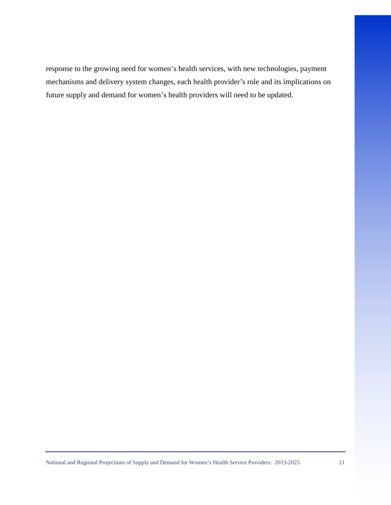response to the growing need for women's health services, with new technologies, payment mechanisms and delivery system changes, each health provider's role and its implications on future supply and demand for women's health providers will need to be updated.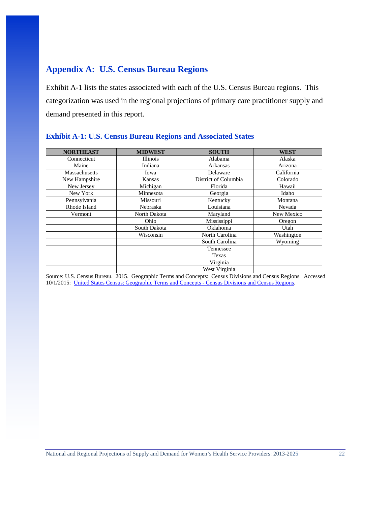## <span id="page-22-0"></span>**Appendix A: U.S. Census Bureau Regions**

Exhibit A-1 lists the states associated with each of the U.S. Census Bureau regions. This categorization was used in the regional projections of primary care practitioner supply and demand presented in this report.

| <b>NORTHEAST</b> | <b>MIDWEST</b>  | <b>SOUTH</b>         | <b>WEST</b> |
|------------------|-----------------|----------------------|-------------|
| Connecticut      | <b>Illinois</b> | Alabama              | Alaska      |
| Maine            | Indiana         | Arkansas             | Arizona     |
| Massachusetts    | Iowa            | Delaware             | California  |
| New Hampshire    | Kansas          | District of Columbia | Colorado    |
| New Jersey       | Michigan        | Florida              | Hawaii      |
| New York         | Minnesota       | Georgia              | Idaho       |
| Pennsylvania     | Missouri        | Kentucky             | Montana     |
| Rhode Island     | Nebraska        | Louisiana            | Nevada      |
| Vermont          | North Dakota    | Maryland             | New Mexico  |
|                  | Ohio            | Mississippi          | Oregon      |
|                  | South Dakota    | Oklahoma             | Utah        |
|                  | Wisconsin       | North Carolina       | Washington  |
|                  |                 | South Carolina       | Wyoming     |
|                  |                 | Tennessee            |             |
|                  |                 | Texas                |             |
|                  |                 | Virginia             |             |
|                  |                 | West Virginia        |             |

## <span id="page-22-1"></span>**Exhibit A-1: U.S. Census Bureau Regions and Associated States**

Source: U.S. Census Bureau. 2015. Geographic Terms and Concepts: Census Divisions and Census Regions. Accessed 10/1/2015: [United States Census: Geographic Terms and Concepts - Census Divisions and Census Regions.](https://www.census.gov/geo/reference/gtc/gtc_census_divreg.html)